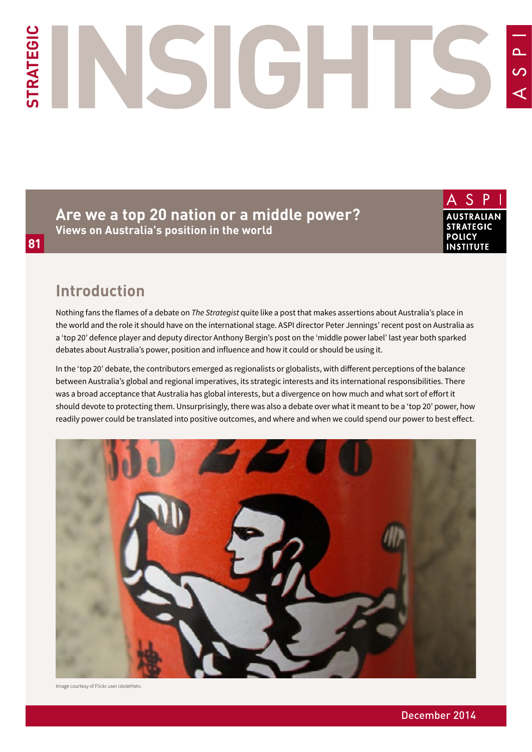# **STRATEGIC INSIGHTS**  $\overline{O}$

**Are we a top 20 nation or a middle power? Views on Australia's position in the world**

**AUSTRALIAN STRATEGIC POLICY INSTITUTE** 

# **Introduction**

Nothing fans the flames of a debate on *The Strategist* quite like a post that makes assertions about Australia's place in the world and the role it should have on the international stage. ASPI director Peter Jennings' recent post on Australia as a 'top 20' defence player and deputy director Anthony Bergin's post on the 'middle power label' last year both sparked debates about Australia's power, position and influence and how it could or should be using it.

In the 'top 20' debate, the contributors emerged as regionalists or globalists, with different perceptions of the balance between Australia's global and regional imperatives, its strategic interests and its international responsibilities. There was a broad acceptance that Australia has global interests, but a divergence on how much and what sort of effort it should devote to protecting them. Unsurprisingly, there was also a debate over what it meant to be a 'top 20' power, how readily power could be translated into positive outcomes, and where and when we could spend our power to best effect.



Image courtesy of Flickr user istolethetv.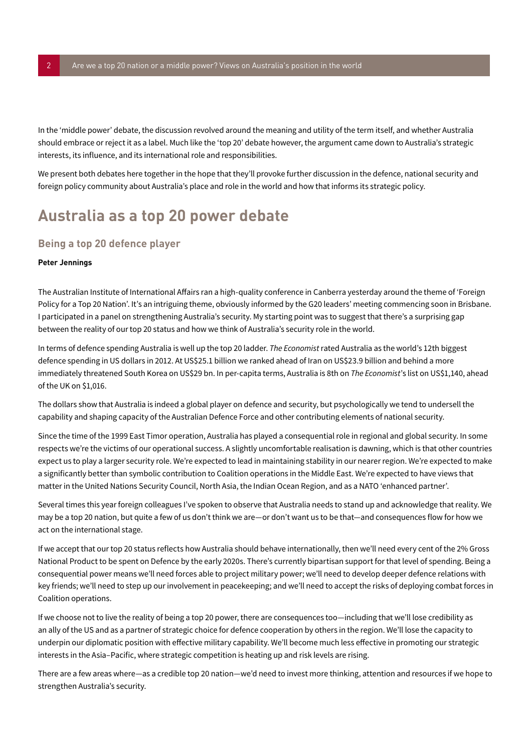In the 'middle power' debate, the discussion revolved around the meaning and utility of the term itself, and whether Australia should embrace or reject it as a label. Much like the 'top 20' debate however, the argument came down to Australia's strategic interests, its influence, and its international role and responsibilities.

We present both debates here together in the hope that they'll provoke further discussion in the defence, national security and foreign policy community about Australia's place and role in the world and how that informs its strategic policy.

# **Australia as a top 20 power debate**

# <span id="page-1-0"></span>**Being a top 20 defence player**

### **Peter Jennings**

The Australian Institute of International Affairs ran a high-quality conference in Canberra yesterday around the theme of 'Foreign Policy for a Top 20 Nation'. It's an intriguing theme, obviously informed by the G20 leaders' meeting commencing soon in Brisbane. I participated in a panel on strengthening Australia's security. My starting point was to suggest that there's a surprising gap between the reality of our top 20 status and how we think of Australia's security role in the world.

In terms of defence spending Australia is well up the top 20 ladder. *The Economist* rated Australia as the world's 12th biggest defence spending in US dollars in 2012. At US\$25.1 billion we ranked ahead of Iran on US\$23.9 billion and behind a more immediately threatened South Korea on US\$29 bn. In per-capita terms, Australia is 8th on *The Economist*'s list on US\$1,140, ahead of the UK on \$1,016.

The dollars show that Australia is indeed a global player on defence and security, but psychologically we tend to undersell the capability and shaping capacity of the Australian Defence Force and other contributing elements of national security.

Since the time of the 1999 East Timor operation, Australia has played a consequential role in regional and global security. In some respects we're the victims of our operational success. A slightly uncomfortable realisation is dawning, which is that other countries expect us to play a larger security role. We're expected to lead in maintaining stability in our nearer region. We're expected to make a significantly better than symbolic contribution to Coalition operations in the Middle East. We're expected to have views that matter in the United Nations Security Council, North Asia, the Indian Ocean Region, and as a NATO 'enhanced partner'.

Several times this year foreign colleagues I've spoken to observe that Australia needs to stand up and acknowledge that reality. We may be a top 20 nation, but quite a few of us don't think we are—or don't want us to be that—and consequences flow for how we act on the international stage.

If we accept that our top 20 status reflects how Australia should behave internationally, then we'll need every cent of the 2% Gross National Product to be spent on Defence by the early 2020s. There's currently bipartisan support for that level of spending. Being a consequential power means we'll need forces able to project military power; we'll need to develop deeper defence relations with key friends; we'll need to step up our involvement in peacekeeping; and we'll need to accept the risks of deploying combat forces in Coalition operations.

If we choose not to live the reality of being a top 20 power, there are consequences too—including that we'll lose credibility as an ally of the US and as a partner of strategic choice for defence cooperation by others in the region. We'll lose the capacity to underpin our diplomatic position with effective military capability. We'll become much less effective in promoting our strategic interests in the Asia–Pacific, where strategic competition is heating up and risk levels are rising.

There are a few areas where—as a credible top 20 nation—we'd need to invest more thinking, attention and resources if we hope to strengthen Australia's security.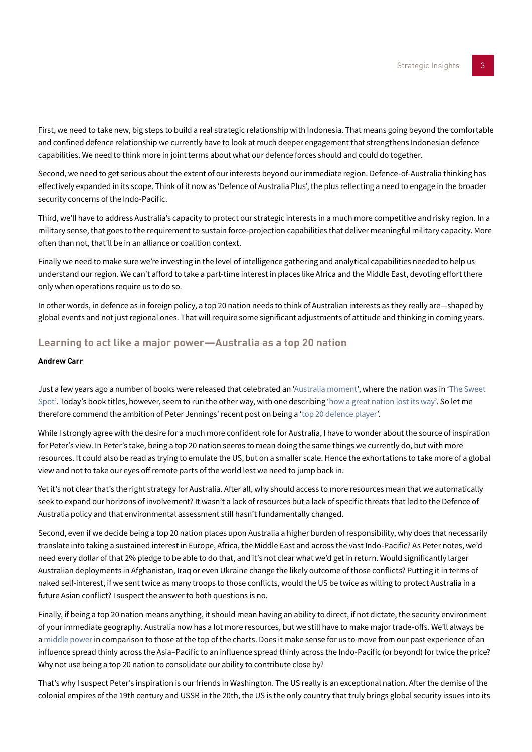First, we need to take new, big steps to build a real strategic relationship with Indonesia. That means going beyond the comfortable and confined defence relationship we currently have to look at much deeper engagement that strengthens Indonesian defence capabilities. We need to think more in joint terms about what our defence forces should and could do together.

Second, we need to get serious about the extent of our interests beyond our immediate region. Defence-of-Australia thinking has effectively expanded in its scope. Think of it now as 'Defence of Australia Plus', the plus reflecting a need to engage in the broader security concerns of the Indo-Pacific.

Third, we'll have to address Australia's capacity to protect our strategic interests in a much more competitive and risky region. In a military sense, that goes to the requirement to sustain force-projection capabilities that deliver meaningful military capacity. More often than not, that'll be in an alliance or coalition context.

Finally we need to make sure we're investing in the level of intelligence gathering and analytical capabilities needed to help us understand our region. We can't afford to take a part-time interest in places like Africa and the Middle East, devoting effort there only when operations require us to do so.

In other words, in defence as in foreign policy, a top 20 nation needs to think of Australian interests as they really are—shaped by global events and not just regional ones. That will require some significant adjustments of attitude and thinking in coming years.

# <span id="page-2-0"></span>**Learning to act like a major power—Australia as a top 20 nation**

### **Andrew Carr**

Just a few years ago a number of books were released that celebrated an ['Australia moment'](http://www.penguin.com.au/products/9780670075218/australian-moment), where the nation was in '[The Sweet](https://www.dymocks.com.au/book/the-sweet-spot-by-peter-hartcher-9781863954976/#.VIln0nvA8Xh)  [Spot](https://www.dymocks.com.au/book/the-sweet-spot-by-peter-hartcher-9781863954976/#.VIln0nvA8Xh)'. Today's book titles, however, seem to run the other way, with one describing ['how a great nation lost its way'](https://www.dymocks.com.au/book/the-rise-and-fall-of-australia-9780857983787/#.VIlolXvA8Xh). So let me therefore commend the ambition of Peter Jennings' recent post on being a '[top 20 defence player'](#page-1-0).

While I strongly agree with the desire for a much more confident role for Australia, I have to wonder about the source of inspiration for Peter's view. In Peter's take, being a top 20 nation seems to mean doing the same things we currently do, but with more resources. It could also be read as trying to emulate the US, but on a smaller scale. Hence the exhortations to take more of a global view and not to take our eyes off remote parts of the world lest we need to jump back in.

Yet it's not clear that's the right strategy for Australia. After all, why should access to more resources mean that we automatically seek to expand our horizons of involvement? It wasn't a lack of resources but a lack of specific threats that led to the Defence of Australia policy and that environmental assessment still hasn't fundamentally changed.

Second, even if we decide being a top 20 nation places upon Australia a higher burden of responsibility, why does that necessarily translate into taking a sustained interest in Europe, Africa, the Middle East and across the vast Indo-Pacific? As Peter notes, we'd need every dollar of that 2% pledge to be able to do that, and it's not clear what we'd get in return. Would significantly larger Australian deployments in Afghanistan, Iraq or even Ukraine change the likely outcome of those conflicts? Putting it in terms of naked self-interest, if we sent twice as many troops to those conflicts, would the US be twice as willing to protect Australia in a future Asian conflict? I suspect the answer to both questions is no.

Finally, if being a top 20 nation means anything, it should mean having an ability to direct, if not dictate, the security environment of your immediate geography. Australia now has a lot more resources, but we still have to make major trade-offs. We'll always be a [middle power](http://www.internationalaffairs.org.au/australian_outlook/is-australia-a-middle-power/) in comparison to those at the top of the charts. Does it make sense for us to move from our past experience of an influence spread thinly across the Asia–Pacific to an influence spread thinly across the Indo-Pacific (or beyond) for twice the price? Why not use being a top 20 nation to consolidate our ability to contribute close by?

That's why I suspect Peter's inspiration is our friends in Washington. The US really is an exceptional nation. After the demise of the colonial empires of the 19th century and USSR in the 20th, the US is the only country that truly brings global security issues into its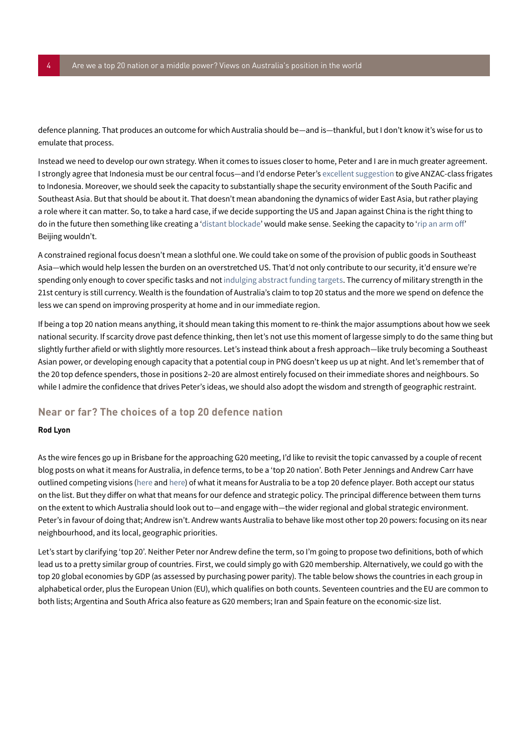defence planning. That produces an outcome for which Australia should be—and is—thankful, but I don't know it's wise for us to emulate that process.

Instead we need to develop our own strategy. When it comes to issues closer to home, Peter and I are in much greater agreement. I strongly agree that Indonesia must be our central focus—and I'd endorse Peter's [excellent suggestion](http://www.afr.com/p/special_reports/opportunityasia/australia_golden_opportunity_to_685EgqL0FCw9sHuN254OcL) to give ANZAC-class frigates to Indonesia. Moreover, we should seek the capacity to substantially shape the security environment of the South Pacific and Southeast Asia. But that should be about it. That doesn't mean abandoning the dynamics of wider East Asia, but rather playing a role where it can matter. So, to take a hard case, if we decide supporting the US and Japan against China is the right thing to do in the future then something like creating a ['distant blockade'](https://www.aspi.org.au/publications/planning-the-unthinkable-war-airsea-battle-and-its-implications-for-australia/Strategy_AirSea.pdf) would make sense. Seeking the capacity to ['rip an arm off'](http://www.securitychallenges.org.au/ArticlePDFs/vol4no1Babbage.pdf) Beijing wouldn't.

A constrained regional focus doesn't mean a slothful one. We could take on some of the provision of public goods in Southeast Asia—which would help lessen the burden on an overstretched US. That'd not only contribute to our security, it'd ensure we're spending only enough to cover specific tasks and not [indulging abstract funding targets.](http://www.securitychallenges.org.au/ArticlePages/vol9no4CarrandDean.html) The currency of military strength in the 21st century is still currency. Wealth is the foundation of Australia's claim to top 20 status and the more we spend on defence the less we can spend on improving prosperity at home and in our immediate region.

If being a top 20 nation means anything, it should mean taking this moment to re-think the major assumptions about how we seek national security. If scarcity drove past defence thinking, then let's not use this moment of largesse simply to do the same thing but slightly further afield or with slightly more resources. Let's instead think about a fresh approach—like truly becoming a Southeast Asian power, or developing enough capacity that a potential coup in PNG doesn't keep us up at night. And let's remember that of the 20 top defence spenders, those in positions 2–20 are almost entirely focused on their immediate shores and neighbours. So while I admire the confidence that drives Peter's ideas, we should also adopt the wisdom and strength of geographic restraint.

# <span id="page-3-0"></span>**Near or far? The choices of a top 20 defence nation**

### **Rod Lyon**

As the wire fences go up in Brisbane for the approaching G20 meeting, I'd like to revisit the topic canvassed by a couple of recent blog posts on what it means for Australia, in defence terms, to be a 'top 20 nation'. Both Peter Jennings and Andrew Carr have outlined competing visions [\(here](#page-1-0) and [here](#page-2-0)) of what it means for Australia to be a top 20 defence player. Both accept our status on the list. But they differ on what that means for our defence and strategic policy. The principal difference between them turns on the extent to which Australia should look out to—and engage with—the wider regional and global strategic environment. Peter's in favour of doing that; Andrew isn't. Andrew wants Australia to behave like most other top 20 powers: focusing on its near neighbourhood, and its local, geographic priorities.

Let's start by clarifying 'top 20'. Neither Peter nor Andrew define the term, so I'm going to propose two definitions, both of which lead us to a pretty similar group of countries. First, we could simply go with G20 membership. Alternatively, we could go with the top 20 global economies by GDP (as assessed by purchasing power parity). The table below shows the countries in each group in alphabetical order, plus the European Union (EU), which qualifies on both counts. Seventeen countries and the EU are common to both lists; Argentina and South Africa also feature as G20 members; Iran and Spain feature on the economic-size list.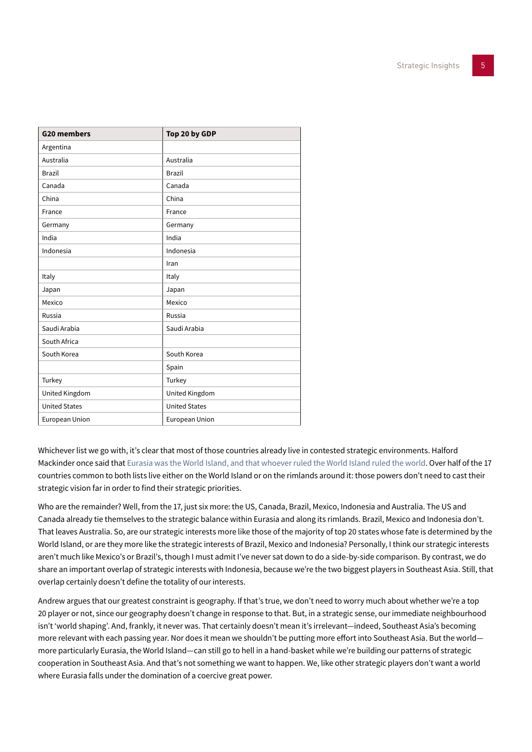| <b>G20 members</b>   | Top 20 by GDP         |
|----------------------|-----------------------|
| Argentina            |                       |
| Australia            | Australia             |
| <b>Brazil</b>        | <b>Brazil</b>         |
| Canada               | Canada                |
| China                | China                 |
| France               | France                |
| Germany              | Germany               |
| India                | India                 |
| Indonesia            | Indonesia             |
|                      | Iran                  |
| Italy                | Italy                 |
| Japan                | Japan                 |
| Mexico               | Mexico                |
| Russia               | Russia                |
| Saudi Arabia         | Saudi Arabia          |
| South Africa         |                       |
| South Korea          | South Korea           |
|                      | Spain                 |
| Turkey               | Turkey                |
| United Kingdom       | United Kingdom        |
| <b>United States</b> | <b>United States</b>  |
| European Union       | <b>European Union</b> |

Whichever list we go with, it's clear that most of those countries already live in contested strategic environments. Halford Mackinder once said that [Eurasia was the World Island, and that whoever ruled the World Island ruled the world](http://en.wikipedia.org/wiki/The_Geographical_Pivot_of_History). Over half of the 17 countries common to both lists live either on the World Island or on the rimlands around it: those powers don't need to cast their strategic vision far in order to find their strategic priorities.

Who are the remainder? Well, from the 17, just six more: the US, Canada, Brazil, Mexico, Indonesia and Australia. The US and Canada already tie themselves to the strategic balance within Eurasia and along its rimlands. Brazil, Mexico and Indonesia don't. That leaves Australia. So, are our strategic interests more like those of the majority of top 20 states whose fate is determined by the World Island, or are they more like the strategic interests of Brazil, Mexico and Indonesia? Personally, I think our strategic interests aren't much like Mexico's or Brazil's, though I must admit I've never sat down to do a side-by-side comparison. By contrast, we do share an important overlap of strategic interests with Indonesia, because we're the two biggest players in Southeast Asia. Still, that overlap certainly doesn't define the totality of our interests.

Andrew argues that our greatest constraint is geography. If that's true, we don't need to worry much about whether we're a top 20 player or not, since our geography doesn't change in response to that. But, in a strategic sense, our immediate neighbourhood isn't 'world shaping'. And, frankly, it never was. That certainly doesn't mean it's irrelevant—indeed, Southeast Asia's becoming more relevant with each passing year. Nor does it mean we shouldn't be putting more effort into Southeast Asia. But the world more particularly Eurasia, the World Island—can still go to hell in a hand-basket while we're building our patterns of strategic cooperation in Southeast Asia. And that's not something we want to happen. We, like other strategic players don't want a world where Eurasia falls under the domination of a coercive great power.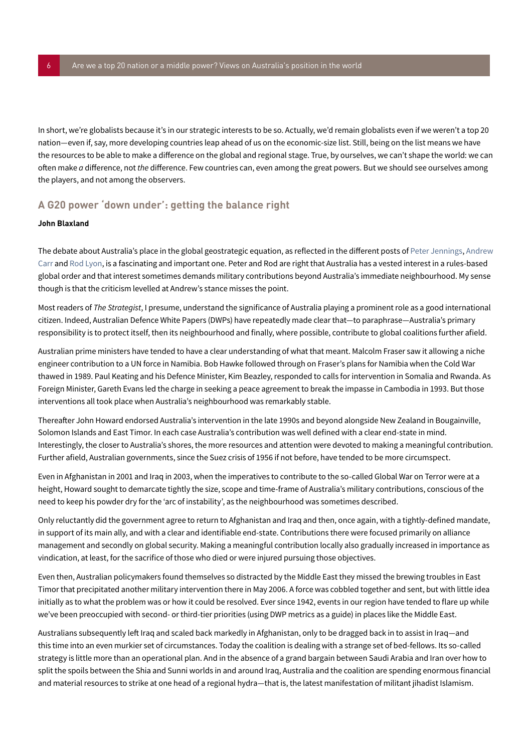In short, we're globalists because it's in our strategic interests to be so. Actually, we'd remain globalists even if we weren't a top 20 nation—even if, say, more developing countries leap ahead of us on the economic-size list. Still, being on the list means we have the resources to be able to make a difference on the global and regional stage. True, by ourselves, we can't shape the world: we can often make *a* difference, not *the* difference. Few countries can, even among the great powers. But we should see ourselves among the players, and not among the observers.

# **A G20 power 'down under': getting the balance right**

### **John Blaxland**

The debate about Australia's place in the global geostrategic equation, as reflected in the different posts of [Peter Jennings,](#page-1-0) [Andrew](#page-2-0)  [Carr](#page-2-0) and [Rod Lyon](#page-3-0), is a fascinating and important one. Peter and Rod are right that Australia has a vested interest in a rules-based global order and that interest sometimes demands military contributions beyond Australia's immediate neighbourhood. My sense though is that the criticism levelled at Andrew's stance misses the point.

Most readers of *The Strategist*, I presume, understand the significance of Australia playing a prominent role as a good international citizen. Indeed, Australian Defence White Papers (DWPs) have repeatedly made clear that—to paraphrase—Australia's primary responsibility is to protect itself, then its neighbourhood and finally, where possible, contribute to global coalitions further afield.

Australian prime ministers have tended to have a clear understanding of what that meant. Malcolm Fraser saw it allowing a niche engineer contribution to a UN force in Namibia. Bob Hawke followed through on Fraser's plans for Namibia when the Cold War thawed in 1989. Paul Keating and his Defence Minister, Kim Beazley, responded to calls for intervention in Somalia and Rwanda. As Foreign Minister, Gareth Evans led the charge in seeking a peace agreement to break the impasse in Cambodia in 1993. But those interventions all took place when Australia's neighbourhood was remarkably stable.

Thereafter John Howard endorsed Australia's intervention in the late 1990s and beyond alongside New Zealand in Bougainville, Solomon Islands and East Timor. In each case Australia's contribution was well defined with a clear end-state in mind. Interestingly, the closer to Australia's shores, the more resources and attention were devoted to making a meaningful contribution. Further afield, Australian governments, since the Suez crisis of 1956 if not before, have tended to be more circumspect.

Even in Afghanistan in 2001 and Iraq in 2003, when the imperatives to contribute to the so-called Global War on Terror were at a height, Howard sought to demarcate tightly the size, scope and time-frame of Australia's military contributions, conscious of the need to keep his powder dry for the 'arc of instability', as the neighbourhood was sometimes described.

Only reluctantly did the government agree to return to Afghanistan and Iraq and then, once again, with a tightly-defined mandate, in support of its main ally, and with a clear and identifiable end-state. Contributions there were focused primarily on alliance management and secondly on global security. Making a meaningful contribution locally also gradually increased in importance as vindication, at least, for the sacrifice of those who died or were injured pursuing those objectives.

Even then, Australian policymakers found themselves so distracted by the Middle East they missed the brewing troubles in East Timor that precipitated another military intervention there in May 2006. A force was cobbled together and sent, but with little idea initially as to what the problem was or how it could be resolved. Ever since 1942, events in our region have tended to flare up while we've been preoccupied with second- or third-tier priorities (using DWP metrics as a guide) in places like the Middle East.

Australians subsequently left Iraq and scaled back markedly in Afghanistan, only to be dragged back in to assist in Iraq—and this time into an even murkier set of circumstances. Today the coalition is dealing with a strange set of bed-fellows. Its so-called strategy is little more than an operational plan. And in the absence of a grand bargain between Saudi Arabia and Iran over how to split the spoils between the Shia and Sunni worlds in and around Iraq, Australia and the coalition are spending enormous financial and material resources to strike at one head of a regional hydra—that is, the latest manifestation of militant jihadist Islamism.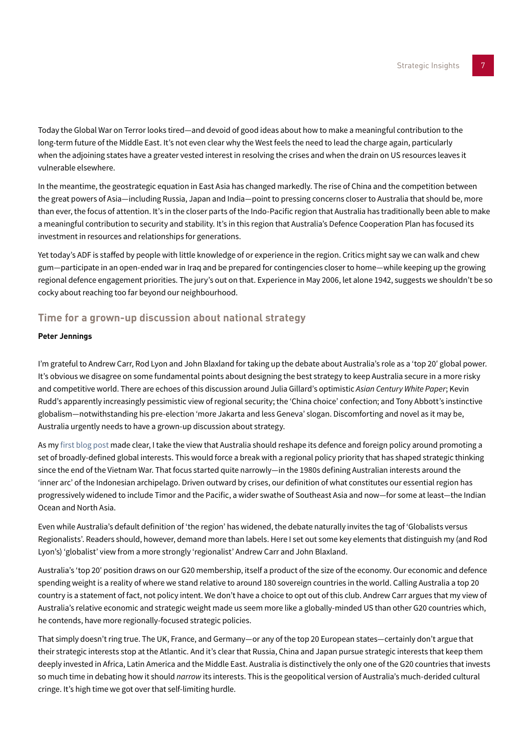Today the Global War on Terror looks tired—and devoid of good ideas about how to make a meaningful contribution to the long-term future of the Middle East. It's not even clear why the West feels the need to lead the charge again, particularly when the adjoining states have a greater vested interest in resolving the crises and when the drain on US resources leaves it vulnerable elsewhere.

In the meantime, the geostrategic equation in East Asia has changed markedly. The rise of China and the competition between the great powers of Asia—including Russia, Japan and India—point to pressing concerns closer to Australia that should be, more than ever, the focus of attention. It's in the closer parts of the Indo-Pacific region that Australia has traditionally been able to make a meaningful contribution to security and stability. It's in this region that Australia's Defence Cooperation Plan has focused its investment in resources and relationships for generations.

Yet today's ADF is staffed by people with little knowledge of or experience in the region. Critics might say we can walk and chew gum—participate in an open-ended war in Iraq and be prepared for contingencies closer to home—while keeping up the growing regional defence engagement priorities. The jury's out on that. Experience in May 2006, let alone 1942, suggests we shouldn't be so cocky about reaching too far beyond our neighbourhood.

# <span id="page-6-0"></span>**Time for a grown-up discussion about national strategy**

### **Peter Jennings**

I'm grateful to Andrew Carr, Rod Lyon and John Blaxland for taking up the debate about Australia's role as a 'top 20′ global power. It's obvious we disagree on some fundamental points about designing the best strategy to keep Australia secure in a more risky and competitive world. There are echoes of this discussion around Julia Gillard's optimistic *Asian Century White Paper*; Kevin Rudd's apparently increasingly pessimistic view of regional security; the 'China choice' confection; and Tony Abbott's instinctive globalism—notwithstanding his pre-election 'more Jakarta and less Geneva' slogan. Discomforting and novel as it may be, Australia urgently needs to have a grown-up discussion about strategy.

As my [first blog post](#page-1-0) made clear, I take the view that Australia should reshape its defence and foreign policy around promoting a set of broadly-defined global interests. This would force a break with a regional policy priority that has shaped strategic thinking since the end of the Vietnam War. That focus started quite narrowly—in the 1980s defining Australian interests around the 'inner arc' of the Indonesian archipelago. Driven outward by crises, our definition of what constitutes our essential region has progressively widened to include Timor and the Pacific, a wider swathe of Southeast Asia and now—for some at least—the Indian Ocean and North Asia.

Even while Australia's default definition of 'the region' has widened, the debate naturally invites the tag of 'Globalists versus Regionalists'. Readers should, however, demand more than labels. Here I set out some key elements that distinguish my (and Rod Lyon's) 'globalist' view from a more strongly 'regionalist' Andrew Carr and John Blaxland.

Australia's 'top 20′ position draws on our G20 membership, itself a product of the size of the economy. Our economic and defence spending weight is a reality of where we stand relative to around 180 sovereign countries in the world. Calling Australia a top 20 country is a statement of fact, not policy intent. We don't have a choice to opt out of this club. Andrew Carr argues that my view of Australia's relative economic and strategic weight made us seem more like a globally-minded US than other G20 countries which, he contends, have more regionally-focused strategic policies.

That simply doesn't ring true. The UK, France, and Germany—or any of the top 20 European states—certainly don't argue that their strategic interests stop at the Atlantic. And it's clear that Russia, China and Japan pursue strategic interests that keep them deeply invested in Africa, Latin America and the Middle East. Australia is distinctively the only one of the G20 countries that invests so much time in debating how it should *narrow* its interests. This is the geopolitical version of Australia's much-derided cultural cringe. It's high time we got over that self-limiting hurdle.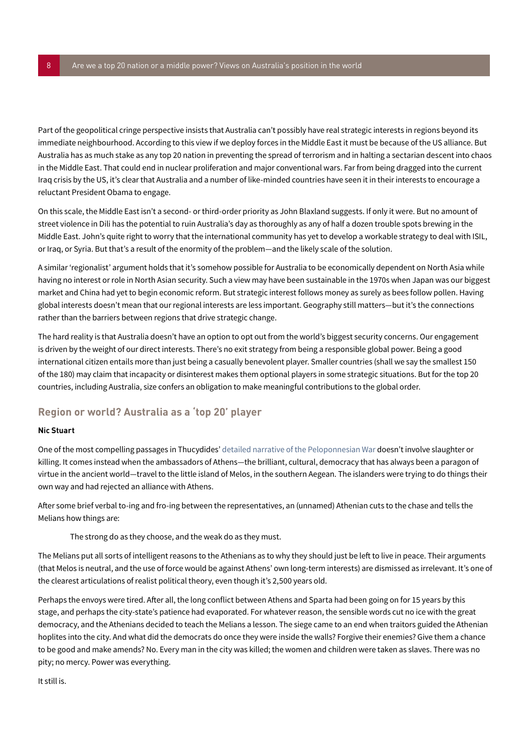Part of the geopolitical cringe perspective insists that Australia can't possibly have real strategic interests in regions beyond its immediate neighbourhood. According to this view if we deploy forces in the Middle East it must be because of the US alliance. But Australia has as much stake as any top 20 nation in preventing the spread of terrorism and in halting a sectarian descent into chaos in the Middle East. That could end in nuclear proliferation and major conventional wars. Far from being dragged into the current Iraq crisis by the US, it's clear that Australia and a number of like-minded countries have seen it in their interests to encourage a reluctant President Obama to engage.

On this scale, the Middle East isn't a second- or third-order priority as John Blaxland suggests. If only it were. But no amount of street violence in Dili has the potential to ruin Australia's day as thoroughly as any of half a dozen trouble spots brewing in the Middle East. John's quite right to worry that the international community has yet to develop a workable strategy to deal with ISIL, or Iraq, or Syria. But that's a result of the enormity of the problem—and the likely scale of the solution.

A similar 'regionalist' argument holds that it's somehow possible for Australia to be economically dependent on North Asia while having no interest or role in North Asian security. Such a view may have been sustainable in the 1970s when Japan was our biggest market and China had yet to begin economic reform. But strategic interest follows money as surely as bees follow pollen. Having global interests doesn't mean that our regional interests are less important. Geography still matters—but it's the connections rather than the barriers between regions that drive strategic change.

The hard reality is that Australia doesn't have an option to opt out from the world's biggest security concerns. Our engagement is driven by the weight of our direct interests. There's no exit strategy from being a responsible global power. Being a good international citizen entails more than just being a casually benevolent player. Smaller countries (shall we say the smallest 150 of the 180) may claim that incapacity or disinterest makes them optional players in some strategic situations. But for the top 20 countries, including Australia, size confers an obligation to make meaningful contributions to the global order.

# **Region or world? Australia as a 'top 20' player**

### **Nic Stuart**

One of the most compelling passages in Thucydides' [detailed narrative of the Peloponnesian War](https://ebooks.adelaide.edu.au/t/thucydides/crawley/) doesn't involve slaughter or killing. It comes instead when the ambassadors of Athens—the brilliant, cultural, democracy that has always been a paragon of virtue in the ancient world—travel to the little island of Melos, in the southern Aegean. The islanders were trying to do things their own way and had rejected an alliance with Athens.

After some brief verbal to-ing and fro-ing between the representatives, an (unnamed) Athenian cuts to the chase and tells the Melians how things are:

### The strong do as they choose, and the weak do as they must.

The Melians put all sorts of intelligent reasons to the Athenians as to why they should just be left to live in peace. Their arguments (that Melos is neutral, and the use of force would be against Athens' own long-term interests) are dismissed as irrelevant. It's one of the clearest articulations of realist political theory, even though it's 2,500 years old.

Perhaps the envoys were tired. After all, the long conflict between Athens and Sparta had been going on for 15 years by this stage, and perhaps the city-state's patience had evaporated. For whatever reason, the sensible words cut no ice with the great democracy, and the Athenians decided to teach the Melians a lesson. The siege came to an end when traitors guided the Athenian hoplites into the city. And what did the democrats do once they were inside the walls? Forgive their enemies? Give them a chance to be good and make amends? No. Every man in the city was killed; the women and children were taken as slaves. There was no pity; no mercy. Power was everything.

It still is.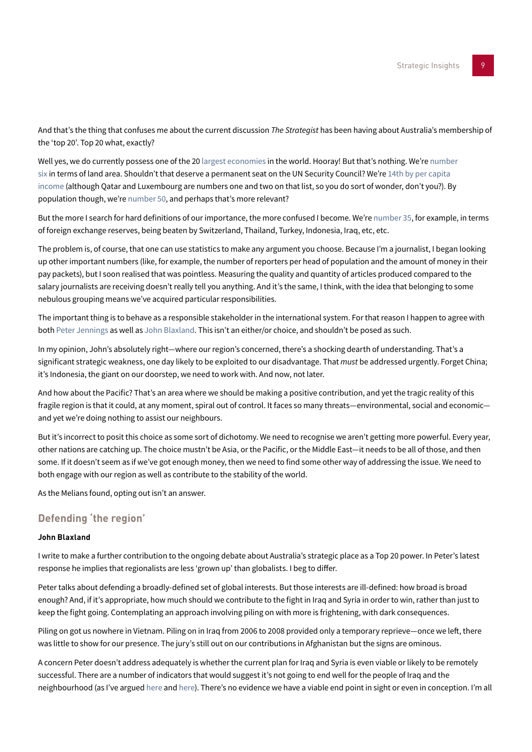And that's the thing that confuses me about the current discussion *The Strategist* has been having about Australia's membership of the 'top 20'. Top 20 what, exactly?

Well yes, we do currently possess one of the 20 [largest economies](https://www.cia.gov/library/publications/the-world-factbook/fields/2195.html) in the world. Hooray! But that's nothing. We're number [six](http://data.worldbank.org/indicator/AG.LND.TOTL.K2) in terms of land area. Shouldn't that deserve a permanent seat on the UN Security Council? We're 14th by per capita [income](http://en.wikipedia.org/wiki/List_of_countries_by_GDP_(PPP)_per_capita) (although Qatar and Luxembourg are numbers one and two on that list, so you do sort of wonder, don't you?). By population though, we're [number 50,](http://www.worldatlas.com/aatlas/populations/ctypopls.htm) and perhaps that's more relevant?

But the more I search for hard definitions of our importance, the more confused I become. We're [number 35,](http://en.wikipedia.org/wiki/List_of_countries_by_foreign-exchange_reserves) for example, in terms of foreign exchange reserves, being beaten by Switzerland, Thailand, Turkey, Indonesia, Iraq, etc, etc.

The problem is, of course, that one can use statistics to make any argument you choose. Because I'm a journalist, I began looking up other important numbers (like, for example, the number of reporters per head of population and the amount of money in their pay packets), but I soon realised that was pointless. Measuring the quality and quantity of articles produced compared to the salary journalists are receiving doesn't really tell you anything. And it's the same, I think, with the idea that belonging to some nebulous grouping means we've acquired particular responsibilities.

The important thing is to behave as a responsible stakeholder in the international system. For that reason I happen to agree with both [Peter Jennings](#page-6-0) as well as John Blaxland. This isn't an either/or choice, and shouldn't be posed as such.

In my opinion, John's absolutely right—where our region's concerned, there's a shocking dearth of understanding. That's a significant strategic weakness, one day likely to be exploited to our disadvantage. That *must* be addressed urgently. Forget China; it's Indonesia, the giant on our doorstep, we need to work with. And now, not later.

And how about the Pacific? That's an area where we should be making a positive contribution, and yet the tragic reality of this fragile region is that it could, at any moment, spiral out of control. It faces so many threats—environmental, social and economic and yet we're doing nothing to assist our neighbours.

But it's incorrect to posit this choice as some sort of dichotomy. We need to recognise we aren't getting more powerful. Every year, other nations are catching up. The choice mustn't be Asia, or the Pacific, or the Middle East—it needs to be all of those, and then some. If it doesn't seem as if we've got enough money, then we need to find some other way of addressing the issue. We need to both engage with our region as well as contribute to the stability of the world.

As the Melians found, opting out isn't an answer.

# **Defending 'the region'**

### **John Blaxland**

I write to make a further contribution to the ongoing debate about Australia's strategic place as a Top 20 power. In Peter's latest response he implies that regionalists are less 'grown up' than globalists. I beg to differ.

Peter talks about defending a broadly-defined set of global interests. But those interests are ill-defined: how broad is broad enough? And, if it's appropriate, how much should we contribute to the fight in Iraq and Syria in order to win, rather than just to keep the fight going. Contemplating an approach involving piling on with more is frightening, with dark consequences.

Piling on got us nowhere in Vietnam. Piling on in Iraq from 2006 to 2008 provided only a temporary reprieve—once we left, there was little to show for our presence. The jury's still out on our contributions in Afghanistan but the signs are ominous.

A concern Peter doesn't address adequately is whether the current plan for Iraq and Syria is even viable or likely to be remotely successful. There are a number of indicators that would suggest it's not going to end well for the people of Iraq and the neighbourhood (as I've argued [here](http://www.canberratimes.com.au/comment/reactionary-australian-intervention-is-not-the-answer-in-the-middle-east-20140828-109exi.html) and [here\)](http://www.canberratimes.com.au/national/middle-eastern-military-campaigns-undermine-our-regional-ties-20141025-119qwc.html). There's no evidence we have a viable end point in sight or even in conception. I'm all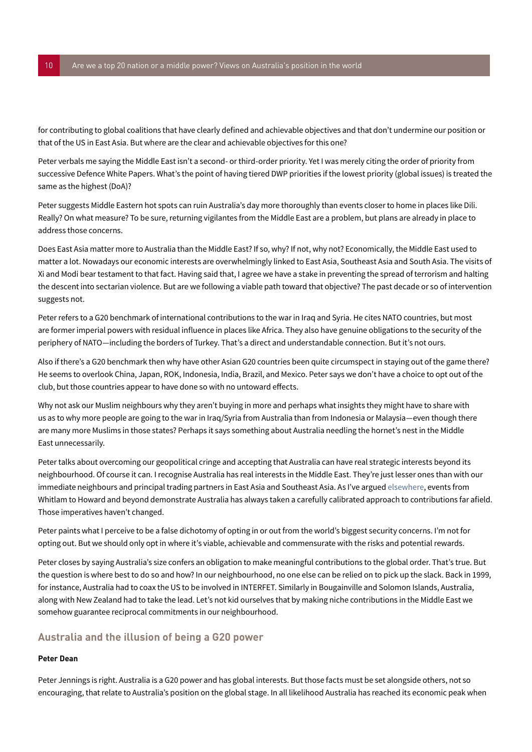for contributing to global coalitions that have clearly defined and achievable objectives and that don't undermine our position or that of the US in East Asia. But where are the clear and achievable objectives for this one?

Peter verbals me saying the Middle East isn't a second- or third-order priority. Yet I was merely citing the order of priority from successive Defence White Papers. What's the point of having tiered DWP priorities if the lowest priority (global issues) is treated the same as the highest (DoA)?

Peter suggests Middle Eastern hot spots can ruin Australia's day more thoroughly than events closer to home in places like Dili. Really? On what measure? To be sure, returning vigilantes from the Middle East are a problem, but plans are already in place to address those concerns.

Does East Asia matter more to Australia than the Middle East? If so, why? If not, why not? Economically, the Middle East used to matter a lot. Nowadays our economic interests are overwhelmingly linked to East Asia, Southeast Asia and South Asia. The visits of Xi and Modi bear testament to that fact. Having said that, I agree we have a stake in preventing the spread of terrorism and halting the descent into sectarian violence. But are we following a viable path toward that objective? The past decade or so of intervention suggests not.

Peter refers to a G20 benchmark of international contributions to the war in Iraq and Syria. He cites NATO countries, but most are former imperial powers with residual influence in places like Africa. They also have genuine obligations to the security of the periphery of NATO—including the borders of Turkey. That's a direct and understandable connection. But it's not ours.

Also if there's a G20 benchmark then why have other Asian G20 countries been quite circumspect in staying out of the game there? He seems to overlook China, Japan, ROK, Indonesia, India, Brazil, and Mexico. Peter says we don't have a choice to opt out of the club, but those countries appear to have done so with no untoward effects.

Why not ask our Muslim neighbours why they aren't buying in more and perhaps what insights they might have to share with us as to why more people are going to the war in Iraq/Syria from Australia than from Indonesia or Malaysia—even though there are many more Muslims in those states? Perhaps it says something about Australia needling the hornet's nest in the Middle East unnecessarily.

Peter talks about overcoming our geopolitical cringe and accepting that Australia can have real strategic interests beyond its neighbourhood. Of course it can. I recognise Australia has real interests in the Middle East. They're just lesser ones than with our immediate neighbours and principal trading partners in East Asia and Southeast Asia. As I've argued [elsewhere](http://www.cambridge.org/tv/academic/subjects/history/australian-history/australian-army-whitlam-howard), events from Whitlam to Howard and beyond demonstrate Australia has always taken a carefully calibrated approach to contributions far afield. Those imperatives haven't changed.

Peter paints what I perceive to be a false dichotomy of opting in or out from the world's biggest security concerns. I'm not for opting out. But we should only opt in where it's viable, achievable and commensurate with the risks and potential rewards.

Peter closes by saying Australia's size confers an obligation to make meaningful contributions to the global order. That's true. But the question is where best to do so and how? In our neighbourhood, no one else can be relied on to pick up the slack. Back in 1999, for instance, Australia had to coax the US to be involved in INTERFET. Similarly in Bougainville and Solomon Islands, Australia, along with New Zealand had to take the lead. Let's not kid ourselves that by making niche contributions in the Middle East we somehow guarantee reciprocal commitments in our neighbourhood.

# **Australia and the illusion of being a G20 power**

### **Peter Dean**

Peter Jennings is right. Australia is a G20 power and has global interests. But those facts must be set alongside others, not so encouraging, that relate to Australia's position on the global stage. In all likelihood Australia has reached its economic peak when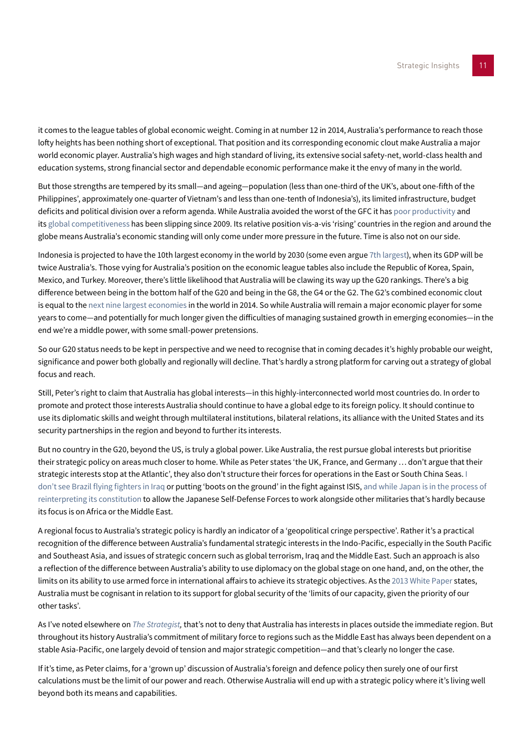it comes to the league tables of global economic weight. Coming in at number 12 in 2014, Australia's performance to reach those lofty heights has been nothing short of exceptional. That position and its corresponding economic clout make Australia a major world economic player. Australia's high wages and high standard of living, its extensive social safety-net, world-class health and education systems, strong financial sector and dependable economic performance make it the envy of many in the world.

But those strengths are tempered by its small—and ageing—population (less than one-third of the UK's, about one-fifth of the Philippines', approximately one-quarter of Vietnam's and less than one-tenth of Indonesia's), its limited infrastructure, budget deficits and political division over a reform agenda. While Australia avoided the worst of the GFC it has [poor productivity](http://grattan.edu.au/home/productivity-growth/australian-productivity-performance/) and its [global competitiveness](http://forumblog.org/2014/09/top-10-competitive-economies-asia-pacific/) has been slipping since 2009. Its relative position vis-a-vis 'rising' countries in the region and around the globe means Australia's economic standing will only come under more pressure in the future. Time is also not on our side.

Indonesia is projected to have the 10th largest economy in the world by 2030 (some even argue [7th largest](http://www.mckinsey.com/insights/asia-pacific/the_archipelago_economy)), when its GDP will be twice Australia's. Those vying for Australia's position on the economic league tables also include the Republic of Korea, Spain, Mexico, and Turkey. Moreover, there's little likelihood that Australia will be clawing its way up the G20 rankings. There's a big difference between being in the bottom half of the G20 and being in the G8, the G4 or the G2. The G2's combined economic clout is equal to the [next nine largest economies](http://knoema.com/nwnfkne/world-gdp-ranking-2014-data-and-charts) in the world in 2014. So while Australia will remain a major economic player for some years to come—and potentially for much longer given the difficulties of managing sustained growth in emerging economies—in the end we're a middle power, with some small-power pretensions.

So our G20 status needs to be kept in perspective and we need to recognise that in coming decades it's highly probable our weight, significance and power both globally and regionally will decline. That's hardly a strong platform for carving out a strategy of global focus and reach.

Still, Peter's right to claim that Australia has global interests—in this highly-interconnected world most countries do. In order to promote and protect those interests Australia should continue to have a global edge to its foreign policy. It should continue to use its diplomatic skills and weight through multilateral institutions, bilateral relations, its alliance with the United States and its security partnerships in the region and beyond to further its interests.

But no country in the G20, beyond the US, is truly a global power. Like Australia, the rest pursue global interests but prioritise their strategic policy on areas much closer to home. While as Peter states 'the UK, France, and Germany … don't argue that their strategic interests stop at the Atlantic', they also don't structure their forces for operations in the East or South China Seas. [I](http://news.nationalpost.com/2014/09/26/mobilizing-the-world-up-to-62-nations-and-groups-have-joined-coalition-against-isis/)  [don't see Brazil flying fighters in Iraq](http://news.nationalpost.com/2014/09/26/mobilizing-the-world-up-to-62-nations-and-groups-have-joined-coalition-against-isis/) or putting 'boots on the ground' in the fight against ISIS, and while Japan is in the process of [reinterpreting its constitution](http://blogs.cfr.org/asia/2014/07/02/reinterpreting-japans-constitution/) to allow the Japanese Self-Defense Forces to work alongside other militaries that's hardly because its focus is on Africa or the Middle East.

A regional focus to Australia's strategic policy is hardly an indicator of a 'geopolitical cringe perspective'. Rather it's a practical recognition of the difference between Australia's fundamental strategic interests in the Indo-Pacific, especially in the South Pacific and Southeast Asia, and issues of strategic concern such as global terrorism, Iraq and the Middle East. Such an approach is also a reflection of the difference between Australia's ability to use diplomacy on the global stage on one hand, and, on the other, the limits on its ability to use armed force in international affairs to achieve its strategic objectives. As the [2013 White Paper](http://www.defence.gov.au/whitepaper2013/) states, Australia must be cognisant in relation to its support for global security of the 'limits of our capacity, given the priority of our other tasks'.

As I've noted elsewhere on *[The Strategist,](http://www.aspistrategist.org.au/ah-the-serenity-dwp13-and-the-view-from-canberra-and-d-c/)* that's not to deny that Australia has interests in places outside the immediate region. But throughout its history Australia's commitment of military force to regions such as the Middle East has always been dependent on a stable Asia-Pacific, one largely devoid of tension and major strategic competition—and that's clearly no longer the case.

If it's time, as Peter claims, for a 'grown up' discussion of Australia's foreign and defence policy then surely one of our first calculations must be the limit of our power and reach. Otherwise Australia will end up with a strategic policy where it's living well beyond both its means and capabilities.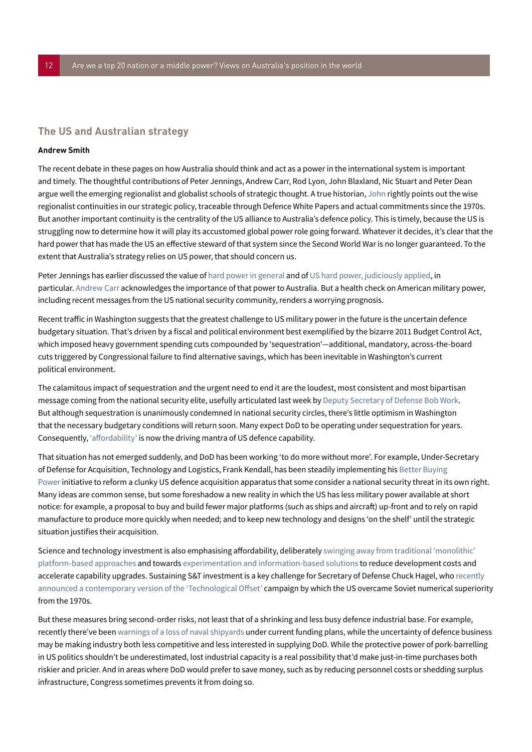# **The US and Australian strategy**

### **Andrew Smith**

The recent debate in these pages on how Australia should think and act as a power in the international system is important and timely. The thoughtful contributions of Peter Jennings, Andrew Carr, Rod Lyon, John Blaxland, Nic Stuart and Peter Dean argue well the emerging regionalist and globalist schools of strategic thought. A true historian, John rightly points out the wise regionalist continuities in our strategic policy, traceable through Defence White Papers and actual commitments since the 1970s. But another important continuity is the centrality of the US alliance to Australia's defence policy. This is timely, because the US is struggling now to determine how it will play its accustomed global power role going forward. Whatever it decides, it's clear that the hard power that has made the US an effective steward of that system since the Second World War is no longer guaranteed. To the extent that Australia's strategy relies on US power, that should concern us.

Peter Jennings has earlier discussed the value of [hard power in general](http://www.aspistrategist.org.au/hard-power-thats-a-knife/) and of [US hard power, judiciously applied,](http://www.aspistrategist.org.au/america-big-fires-grow-from-small-ones/) in particular. [Andrew Carr](#page-2-0) acknowledges the importance of that power to Australia. But a health check on American military power, including recent messages from the US national security community, renders a worrying prognosis.

Recent traffic in Washington suggests that the greatest challenge to US military power in the future is the uncertain defence budgetary situation. That's driven by a fiscal and political environment best exemplified by the bizarre 2011 Budget Control Act, which imposed heavy government spending cuts compounded by 'sequestration'—additional, mandatory, across-the-board cuts triggered by Congressional failure to find alternative savings, which has been inevitable in Washington's current political environment.

The calamitous impact of sequestration and the urgent need to end it are the loudest, most consistent and most bipartisan message coming from the national security elite, usefully articulated last week by [Deputy Secretary of Defense Bob Work](http://csis.org/event/global-security-forum-2014-opening-session). But although sequestration is unanimously condemned in national security circles, there's little optimism in Washington that the necessary budgetary conditions will return soon. Many expect DoD to be operating under sequestration for years. Consequently, ['affordability'](http://csis.org/event/global-security-forum-2014-sequestration-and-politics-defense-affordability) is now the driving mantra of US defence capability.

That situation has not emerged suddenly, and DoD has been working 'to do more without more'. For example, Under-Secretary of Defense for Acquisition, Technology and Logistics, Frank Kendall, has been steadily implementing his [Better Buying](http://bbp.dau.mil/)  [Power](http://bbp.dau.mil/) initiative to reform a clunky US defence acquisition apparatus that some consider a national security threat in its own right. Many ideas are common sense, but some foreshadow a new reality in which the US has less military power available at short notice: for example, a proposal to buy and build fewer major platforms (such as ships and aircraft) up-front and to rely on rapid manufacture to produce more quickly when needed; and to keep new technology and designs 'on the shelf' until the strategic situation justifies their acquisition.

Science and technology investment is also emphasising affordability, deliberately [swinging away from traditional 'monolithic'](http://csis.org/event/global-security-forum-2014-military-innovation-and-changing-ways-war)  [platform-based approaches](http://csis.org/event/global-security-forum-2014-military-innovation-and-changing-ways-war) and towards [experimentation and information-based solutions](http://csis.org/event/talking-technology-conference-and-workshop) to reduce development costs and accelerate capability upgrades. Sustaining S&T investment is a key challenge for Secretary of Defense Chuck Hagel, who [recently](http://www.defense.gov/Speeches/Speech.aspx?SpeechID=1903)  [announced a contemporary version of the 'Technological Offset'](http://www.defense.gov/Speeches/Speech.aspx?SpeechID=1903) campaign by which the US overcame Soviet numerical superiority from the 1970s.

But these measures bring second-order risks, not least that of a shrinking and less busy defence industrial base. For example, recently there've been [warnings of a loss of naval shipyards](http://www.military.com/daily-news/2014/11/06/sequester-could-kill-shipyards-says-cno-greenert.html) under current funding plans, while the uncertainty of defence business may be making industry both less competitive and less interested in supplying DoD. While the protective power of pork-barrelling in US politics shouldn't be underestimated, lost industrial capacity is a real possibility that'd make just-in-time purchases both riskier and pricier. And in areas where DoD would prefer to save money, such as by reducing personnel costs or shedding surplus infrastructure, Congress sometimes prevents it from doing so.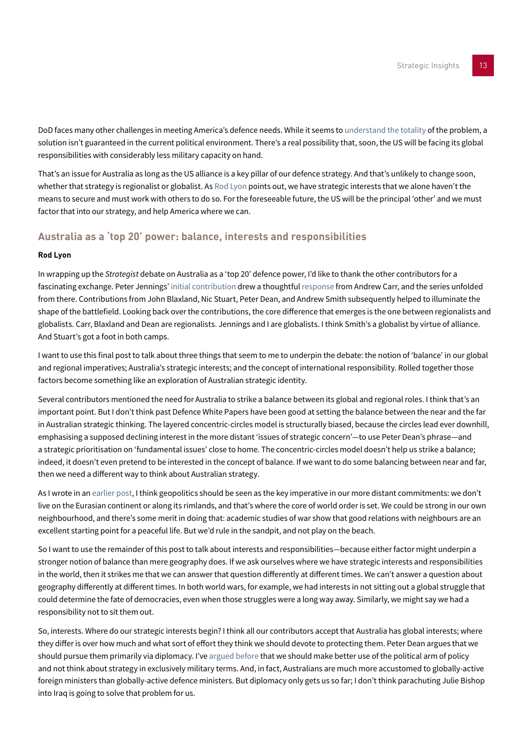DoD faces many other challenges in meeting America's defence needs. While it seems to [understand the totality](http://www.defenseone.com/ideas/2014/11/new-era-defense-department/99392/?oref=d-river) of the problem, a solution isn't guaranteed in the current political environment. There's a real possibility that, soon, the US will be facing its global responsibilities with considerably less military capacity on hand.

That's an issue for Australia as long as the US alliance is a key pillar of our defence strategy. And that's unlikely to change soon, whether that strategy is regionalist or globalist. As [Rod Lyon](#page-3-0) points out, we have strategic interests that we alone haven't the means to secure and must work with others to do so. For the foreseeable future, the US will be the principal 'other' and we must factor that into our strategy, and help America where we can.

# **[Australia as a 'top 20' power: balance, interests and responsibilities](http://www.aspistrategist.org.au/australia-as-a-top-20-power-balance-interests-and-responsibilities/)**

### **Rod Lyon**

In wrapping up the *Strategist* debate on Australia as a 'top 20' defence power, I'd like to thank the other contributors for a fascinating exchange. Peter Jennings' [initial contribution](#page-1-0) drew a thoughtful [response](#page-2-0) from Andrew Carr, and the series unfolded from there. Contributions from John Blaxland, Nic Stuart, Peter Dean, and Andrew Smith subsequently helped to illuminate the shape of the battlefield. Looking back over the contributions, the core difference that emerges is the one between regionalists and globalists. Carr, Blaxland and Dean are regionalists. Jennings and I are globalists. I think Smith's a globalist by virtue of alliance. And Stuart's got a foot in both camps.

I want to use this final post to talk about three things that seem to me to underpin the debate: the notion of 'balance' in our global and regional imperatives; Australia's strategic interests; and the concept of international responsibility. Rolled together those factors become something like an exploration of Australian strategic identity.

Several contributors mentioned the need for Australia to strike a balance between its global and regional roles. I think that's an important point. But I don't think past Defence White Papers have been good at setting the balance between the near and the far in Australian strategic thinking. The layered concentric-circles model is structurally biased, because the circles lead ever downhill, emphasising a supposed declining interest in the more distant 'issues of strategic concern'—to use Peter Dean's phrase—and a strategic prioritisation on 'fundamental issues' close to home. The concentric-circles model doesn't help us strike a balance; indeed, it doesn't even pretend to be interested in the concept of balance. If we want to do some balancing between near and far, then we need a different way to think about Australian strategy.

As I wrote in an [earlier post,](#page-3-0) I think geopolitics should be seen as the key imperative in our more distant commitments: we don't live on the Eurasian continent or along its rimlands, and that's where the core of world order is set. We could be strong in our own neighbourhood, and there's some merit in doing that: academic studies of war show that good relations with neighbours are an excellent starting point for a peaceful life. But we'd rule in the sandpit, and not play on the beach.

So I want to use the remainder of this post to talk about interests and responsibilities—because either factor might underpin a stronger notion of balance than mere geography does. If we ask ourselves where we have strategic interests and responsibilities in the world, then it strikes me that we can answer that question differently at different times. We can't answer a question about geography differently at different times. In both world wars, for example, we had interests in not sitting out a global struggle that could determine the fate of democracies, even when those struggles were a long way away. Similarly, we might say we had a responsibility not to sit them out.

So, interests. Where do our strategic interests begin? I think all our contributors accept that Australia has global interests; where they differ is over how much and what sort of effort they think we should devote to protecting them. Peter Dean argues that we should pursue them primarily via diplomacy. I've [argued before](http://www.aspistrategist.org.au/getting-australias-strategic-interests-right/) that we should make better use of the political arm of policy and not think about strategy in exclusively military terms. And, in fact, Australians are much more accustomed to globally-active foreign ministers than globally-active defence ministers. But diplomacy only gets us so far; I don't think parachuting Julie Bishop into Iraq is going to solve that problem for us.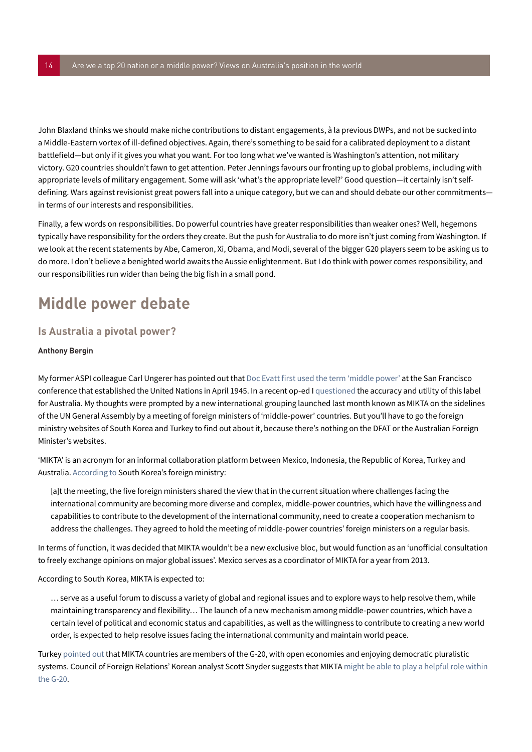John Blaxland thinks we should make niche contributions to distant engagements, à la previous DWPs, and not be sucked into a Middle-Eastern vortex of ill-defined objectives. Again, there's something to be said for a calibrated deployment to a distant battlefield—but only if it gives you what you want. For too long what we've wanted is Washington's attention, not military victory. G20 countries shouldn't fawn to get attention. Peter Jennings favours our fronting up to global problems, including with appropriate levels of military engagement. Some will ask 'what's the appropriate level?' Good question—it certainly isn't selfdefining. Wars against revisionist great powers fall into a unique category, but we can and should debate our other commitments in terms of our interests and responsibilities.

Finally, a few words on responsibilities. Do powerful countries have greater responsibilities than weaker ones? Well, hegemons typically have responsibility for the orders they create. But the push for Australia to do more isn't just coming from Washington. If we look at the recent statements by Abe, Cameron, Xi, Obama, and Modi, several of the bigger G20 players seem to be asking us to do more. I don't believe a benighted world awaits the Aussie enlightenment. But I do think with power comes responsibility, and our responsibilities run wider than being the big fish in a small pond.

# **Middle power debate**

# <span id="page-13-0"></span>**Is Australia a pivotal power?**

### **Anthony Bergin**

My former ASPI colleague Carl Ungerer has pointed out that [Doc Evatt first used the term 'middle power'](http://onlinelibrary.wiley.com/doi/10.1111/j.1467-8497.2007.00473.x/full) at the San Francisco conference that established the United Nations in April 1945. In a recent op-ed I [questioned](http://www.smh.com.au/comment/dump-middlepower-tag--australia-carries-bigger-stick-than-that-20131009-2v8hr.html) the accuracy and utility of this label for Australia. My thoughts were prompted by a new international grouping launched last month known as MIKTA on the sidelines of the UN General Assembly by a meeting of foreign ministers of 'middle-power' countries. But you'll have to go the foreign ministry websites of South Korea and Turkey to find out about it, because there's nothing on the DFAT or the Australian Foreign Minister's websites.

'MIKTA' is an acronym for an informal collaboration platform between Mexico, Indonesia, the Republic of Korea, Turkey and Australia. [According to](http://www.mofat.go.kr/ENG/press/pressreleases/index.jsp?menu=m_10_20) South Korea's foreign ministry:

[a]t the meeting, the five foreign ministers shared the view that in the current situation where challenges facing the international community are becoming more diverse and complex, middle-power countries, which have the willingness and capabilities to contribute to the development of the international community, need to create a cooperation mechanism to address the challenges. They agreed to hold the meeting of middle-power countries' foreign ministers on a regular basis.

In terms of function, it was decided that MIKTA wouldn't be a new exclusive bloc, but would function as an 'unofficial consultation to freely exchange opinions on major global issues'. Mexico serves as a coordinator of MIKTA for a year from 2013.

According to South Korea, MIKTA is expected to:

… serve as a useful forum to discuss a variety of global and regional issues and to explore ways to help resolve them, while maintaining transparency and flexibility… The launch of a new mechanism among middle-power countries, which have a certain level of political and economic status and capabilities, as well as the willingness to contribute to creating a new world order, is expected to help resolve issues facing the international community and maintain world peace.

Turkey [pointed out](http://www.mofat.go.kr/ENG/press/pressreleases/index.jsp?menu=m_10_20) that MIKTA countries are members of the G-20, with open economies and enjoying democratic pluralistic systems. Council of Foreign Relations' Korean analyst Scott Snyder suggests that MIKTA might be able to play a helpful role within [the G-20](http://blogs.cfr.org/asia/2013/10/01/korean-middle-power-diplomacy-the-establishment-of-mikta/).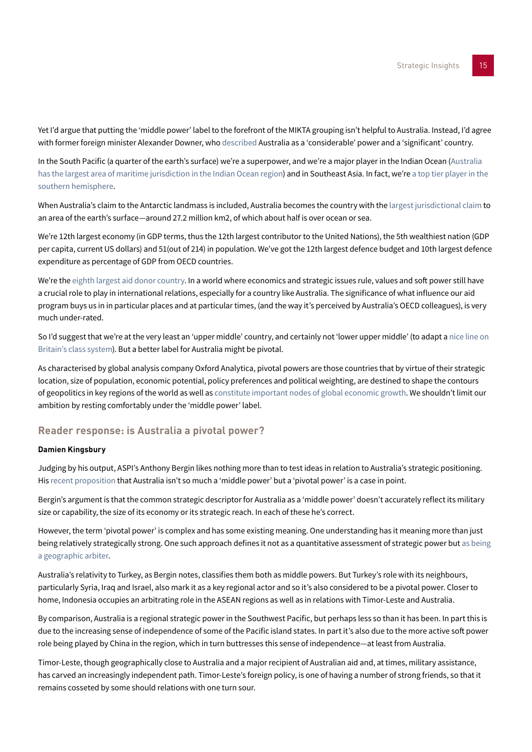Yet I'd argue that putting the 'middle power' label to the forefront of the MIKTA grouping isn't helpful to Australia. Instead, I'd agree with former foreign minister Alexander Downer, who [described](http://www.foreignminister.gov.au/speeches/2006/060710_bigorsmall.html) Australia as a 'considerable' power and a 'significant' country.

In the South Pacific (a quarter of the earth's surface) we're a superpower, and we're a major player in the Indian Ocean ([Australia](http://www.aspi.org.au/htmlver/ASPI_OurWesternFront/chapter01.html)  [has the largest area of maritime jurisdiction in the Indian Ocean region](http://www.aspi.org.au/htmlver/ASPI_OurWesternFront/chapter01.html)) and in Southeast Asia. In fact, we're a top tier player in the [southern hemisphere.](http://www.aspi.org.au/publications/publication_details.aspx?ContentID=366)

When Australia's claim to the Antarctic landmass is included, Australia becomes the country with the [largest jurisdictional claim](http://www.aspi.org.au/htmlver/ASPI_Seachange/chapter01.html) to an area of the earth's surface—around 27.2 million km2, of which about half is over ocean or sea.

We're 12th largest economy (in GDP terms, thus the 12th largest contributor to the United Nations), the 5th wealthiest nation (GDP per capita, current US dollars) and 51(out of 214) in population. We've got the 12th largest defence budget and 10th largest defence expenditure as percentage of GDP from OECD countries.

We're the [eighth largest aid donor country](http://devpolicy.org/whither-australian-aid-20130926/). In a world where economics and strategic issues rule, values and soft power still have a crucial role to play in international relations, especially for a country like Australia. The significance of what influence our aid program buys us in in particular places and at particular times, (and the way it's perceived by Australia's OECD colleagues), is very much under-rated.

So I'd suggest that we're at the very least an 'upper middle' country, and certainly not 'lower upper middle' (to adapt a [nice line on](http://hitchensblog.mailonsunday.co.uk/2009/01/dont-call-me-a-snob-im-lower-upper-middle-class.html)  [Britain's class system\)](http://hitchensblog.mailonsunday.co.uk/2009/01/dont-call-me-a-snob-im-lower-upper-middle-class.html). But a better label for Australia might be pivotal.

As characterised by global analysis company Oxford Analytica, pivotal powers are those countries that by virtue of their strategic location, size of population, economic potential, policy preferences and political weighting, are destined to shape the contours of geopolitics in key regions of the world as well as [constitute important nodes of global economic growth](http://www.oxan.com/analysis/dailybrief/pivotalpowers/default.aspx). We shouldn't limit our ambition by resting comfortably under the 'middle power' label.

# **[Reader response: is Australia a pivotal power?](http://www.aspistrategist.org.au/reader-response-is-australia-a-pivotal-power/)**

### <span id="page-14-0"></span>**Damien Kingsbury**

Judging by his output, ASPI's Anthony Bergin likes nothing more than to test ideas in relation to Australia's strategic positioning. His [recent proposition](#page-13-0) that Australia isn't so much a 'middle power' but a 'pivotal power' is a case in point.

Bergin's argument is that the common strategic descriptor for Australia as a 'middle power' doesn't accurately reflect its military size or capability, the size of its economy or its strategic reach. In each of these he's correct.

However, the term 'pivotal power' is complex and has some existing meaning. One understanding has it meaning more than just being relatively strategically strong. One such approach defines it not as a quantitative assessment of strategic power but [as being](http://www.oxan.com/analysis/dailybrief/pivotalpowers/default.aspx)  [a geographic arbiter](http://www.oxan.com/analysis/dailybrief/pivotalpowers/default.aspx).

Australia's relativity to Turkey, as Bergin notes, classifies them both as middle powers. But Turkey's role with its neighbours, particularly Syria, Iraq and Israel, also mark it as a key regional actor and so it's also considered to be a pivotal power. Closer to home, Indonesia occupies an arbitrating role in the ASEAN regions as well as in relations with Timor-Leste and Australia.

By comparison, Australia is a regional strategic power in the Southwest Pacific, but perhaps less so than it has been. In part this is due to the increasing sense of independence of some of the Pacific island states. In part it's also due to the more active soft power role being played by China in the region, which in turn buttresses this sense of independence—at least from Australia.

Timor-Leste, though geographically close to Australia and a major recipient of Australian aid and, at times, military assistance, has carved an increasingly independent path. Timor-Leste's foreign policy, is one of having a number of strong friends, so that it remains cosseted by some should relations with one turn sour.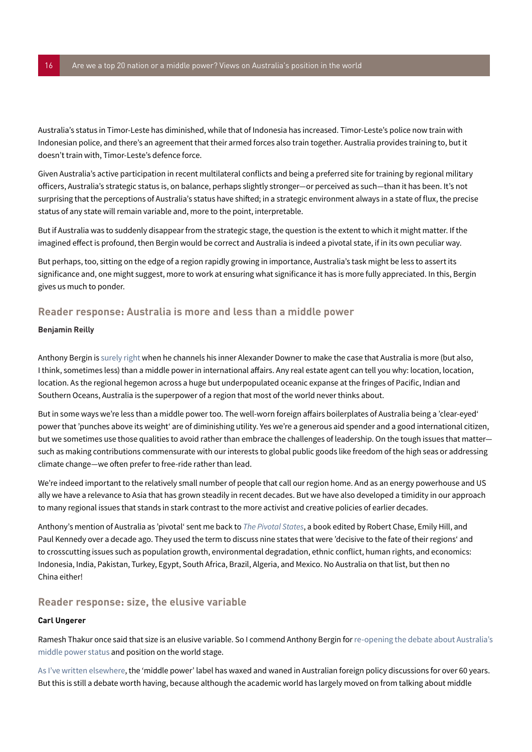Australia's status in Timor-Leste has diminished, while that of Indonesia has increased. Timor-Leste's police now train with Indonesian police, and there's an agreement that their armed forces also train together. Australia provides training to, but it doesn't train with, Timor-Leste's defence force.

Given Australia's active participation in recent multilateral conflicts and being a preferred site for training by regional military officers, Australia's strategic status is, on balance, perhaps slightly stronger—or perceived as such—than it has been. It's not surprising that the perceptions of Australia's status have shifted; in a strategic environment always in a state of flux, the precise status of any state will remain variable and, more to the point, interpretable.

But if Australia was to suddenly disappear from the strategic stage, the question is the extent to which it might matter. If the imagined effect is profound, then Bergin would be correct and Australia is indeed a pivotal state, if in its own peculiar way.

But perhaps, too, sitting on the edge of a region rapidly growing in importance, Australia's task might be less to assert its significance and, one might suggest, more to work at ensuring what significance it has is more fully appreciated. In this, Bergin gives us much to ponder.

# <span id="page-15-1"></span>**Reader response: Australia is more and less than a middle power**

### **Benjamin Reilly**

Anthony Bergin i[s surely right w](#page-13-0)hen he channels his inner Alexander Downer to make the case that Australia is more (but also, I think, sometimes less) than a middle power in international affairs. Any real estate agent can tell you why: location, location, location. As the regional hegemon across a huge but underpopulated oceanic expanse at the fringes of Pacific, Indian and Southern Oceans, Australia is the superpower of a region that most of the world never thinks about.

But in some ways we're less than a middle power too. The well-worn foreign affairs boilerplates of Australia being a 'clear-eyed' power that 'punches above its weight' are of diminishing utility. Yes we're a generous aid spender and a good international citizen, but we sometimes use those qualities to avoid rather than embrace the challenges of leadership. On the tough issues that matter such as making contributions commensurate with our interests to global public goods like freedom of the high seas or addressing climate change—we often prefer to free-ride rather than lead.

We're indeed important to the relatively small number of people that call our region home. And as an energy powerhouse and US ally we have a relevance to Asia that has grown steadily in recent decades. But we have also developed a timidity in our approach to many regional issues that stands in stark contrast to the more activist and creative policies of earlier decades.

Anthony's mention of Australia as 'pivotal' sent me back to *[The Pivotal States](http://www.amazon.com/Pivotal-States-Framework-Policy-Developing/dp/0393046753/ref=sr_1_1/176-4135485-1081832?s=books&ie=UTF8&qid=1381896076&sr=1-1&keywords=0393046753)*, a book edited by Robert Chase, Emily Hill, and Paul Kennedy over a decade ago. They used the term to discuss nine states that were 'decisive to the fate of their regions' and to crosscutting issues such as population growth, environmental degradation, ethnic conflict, human rights, and economics: Indonesia, India, Pakistan, Turkey, Egypt, South Africa, Brazil, Algeria, and Mexico. No Australia on that list, but then no China either!

# **[Reader response: size, the elusive variable](http://www.aspistrategist.org.au/size-the-elusive-variable/)**

### <span id="page-15-0"></span>**Carl Ungerer**

Ramesh Thakur once said that size is an elusive variable. So I commend Anthony Bergin for [re-opening the debate about Australia's](#page-13-0)  [middle power status](#page-13-0) and position on the world stage.

[As I've written elsewhere,](http://onlinelibrary.wiley.com/doi/10.1111/j.1467-8497.2007.00473.x/abstract) the 'middle power' label has waxed and waned in Australian foreign policy discussions for over 60 years. But this is still a debate worth having, because although the academic world has largely moved on from talking about middle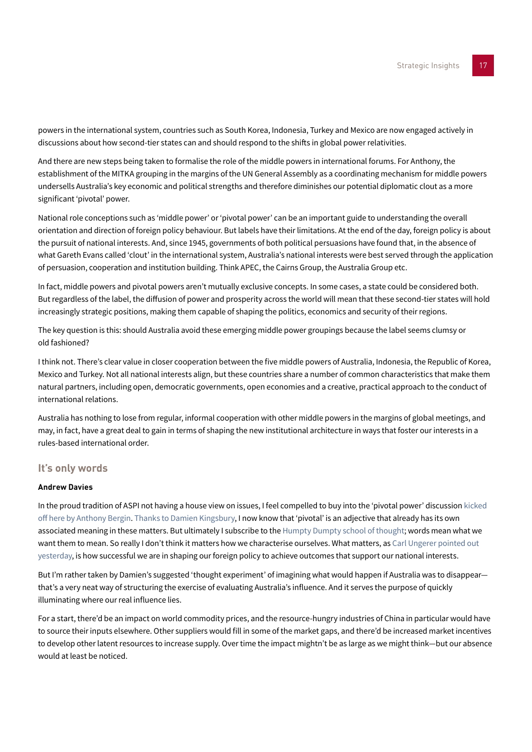powers in the international system, countries such as South Korea, Indonesia, Turkey and Mexico are now engaged actively in discussions about how second-tier states can and should respond to the shifts in global power relativities.

And there are new steps being taken to formalise the role of the middle powers in international forums. For Anthony, the establishment of the MITKA grouping in the margins of the UN General Assembly as a coordinating mechanism for middle powers undersells Australia's key economic and political strengths and therefore diminishes our potential diplomatic clout as a more significant 'pivotal' power.

National role conceptions such as 'middle power' or 'pivotal power' can be an important guide to understanding the overall orientation and direction of foreign policy behaviour. But labels have their limitations. At the end of the day, foreign policy is about the pursuit of national interests. And, since 1945, governments of both political persuasions have found that, in the absence of what Gareth Evans called 'clout' in the international system, Australia's national interests were best served through the application of persuasion, cooperation and institution building. Think APEC, the Cairns Group, the Australia Group etc.

In fact, middle powers and pivotal powers aren't mutually exclusive concepts. In some cases, a state could be considered both. But regardless of the label, the diffusion of power and prosperity across the world will mean that these second-tier states will hold increasingly strategic positions, making them capable of shaping the politics, economics and security of their regions.

The key question is this: should Australia avoid these emerging middle power groupings because the label seems clumsy or old fashioned?

I think not. There's clear value in closer cooperation between the five middle powers of Australia, Indonesia, the Republic of Korea, Mexico and Turkey. Not all national interests align, but these countries share a number of common characteristics that make them natural partners, including open, democratic governments, open economies and a creative, practical approach to the conduct of international relations.

Australia has nothing to lose from regular, informal cooperation with other middle powers in the margins of global meetings, and may, in fact, have a great deal to gain in terms of shaping the new institutional architecture in ways that foster our interests in a rules-based international order.

# **It's only words**

# **Andrew Davies**

In the proud tradition of ASPI not having a house view on issues, I feel compelled to buy into the 'pivotal power' discussion [kicked](#page-13-0)  [off here by Anthony Bergin](#page-13-0). [Thanks to Damien Kingsbury,](#page-14-0) I now know that 'pivotal' is an adjective that already has its own associated meaning in these matters. But ultimately I subscribe to the [Humpty Dumpty school of thought;](http://thinkexist.com/quotation/when_i_use_a_word-humpty_dumpty_said_in_rather_a/214617.html) words mean what we want them to mean. So really I don't think it matters how we characterise ourselves. What matters, as Carl Ungerer pointed out [yesterday,](#page-15-0) is how successful we are in shaping our foreign policy to achieve outcomes that support our national interests.

But I'm rather taken by Damien's suggested 'thought experiment' of imagining what would happen if Australia was to disappear that's a very neat way of structuring the exercise of evaluating Australia's influence. And it serves the purpose of quickly illuminating where our real influence lies.

For a start, there'd be an impact on world commodity prices, and the resource-hungry industries of China in particular would have to source their inputs elsewhere. Other suppliers would fill in some of the market gaps, and there'd be increased market incentives to develop other latent resources to increase supply. Over time the impact mightn't be as large as we might think—but our absence would at least be noticed.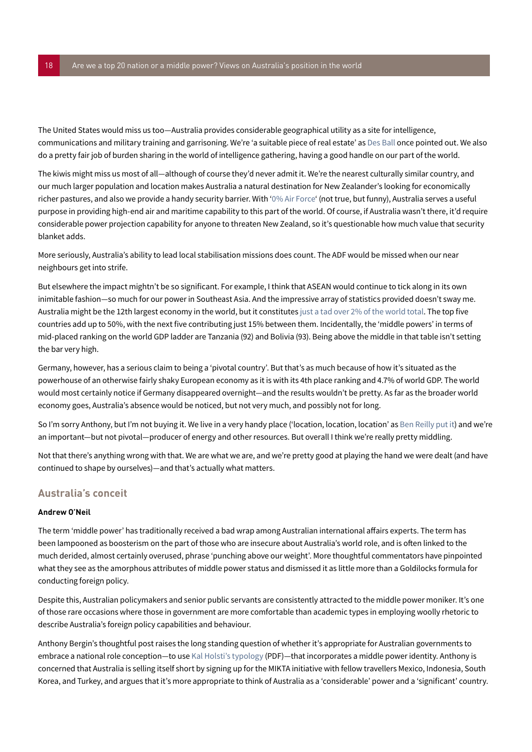The United States would miss us too—Australia provides considerable geographical utility as a site for intelligence, communications and military training and garrisoning. We're 'a suitable piece of real estate' as [Des Ball](http://www.theage.com.au/national/des-ball-the-man-who-saved-the-world-20121220-2bpdd.html) once pointed out. We also do a pretty fair job of burden sharing in the world of intelligence gathering, having a good handle on our part of the world.

The kiwis might miss us most of all—although of course they'd never admit it. We're the nearest culturally similar country, and our much larger population and location makes Australia a natural destination for New Zealander's looking for economically richer pastures, and also we provide a handy security barrier. With ['0% Air Force'](https://www.youtube.com/watch?v=7xUYbI64QHI) (not true, but funny), Australia serves a useful purpose in providing high-end air and maritime capability to this part of the world. Of course, if Australia wasn't there, it'd require considerable power projection capability for anyone to threaten New Zealand, so it's questionable how much value that security blanket adds.

More seriously, Australia's ability to lead local stabilisation missions does count. The ADF would be missed when our near neighbours get into strife.

But elsewhere the impact mightn't be so significant. For example, I think that ASEAN would continue to tick along in its own inimitable fashion—so much for our power in Southeast Asia. And the impressive array of statistics provided doesn't sway me. Australia might be the 12th largest economy in the world, but it constitutes [just a tad over 2% of the world total](http://en.wikipedia.org/wiki/List_of_countries_by_GDP_%28nominal%29). The top five countries add up to 50%, with the next five contributing just 15% between them. Incidentally, the 'middle powers' in terms of mid-placed ranking on the world GDP ladder are Tanzania (92) and Bolivia (93). Being above the middle in that table isn't setting the bar very high.

Germany, however, has a serious claim to being a 'pivotal country'. But that's as much because of how it's situated as the powerhouse of an otherwise fairly shaky European economy as it is with its 4th place ranking and 4.7% of world GDP. The world would most certainly notice if Germany disappeared overnight—and the results wouldn't be pretty. As far as the broader world economy goes, Australia's absence would be noticed, but not very much, and possibly not for long.

So I'm sorry Anthony, but I'm not buying it. We live in a very handy place ('location, location, location' as [Ben Reilly put it\)](#page-15-1) and we're an important—but not pivotal—producer of energy and other resources. But overall I think we're really pretty middling.

Not that there's anything wrong with that. We are what we are, and we're pretty good at playing the hand we were dealt (and have continued to shape by ourselves)—and that's actually what matters.

# **Australia's conceit**

### **Andrew O'Neil**

The term 'middle power' has traditionally received a bad wrap among Australian international affairs experts. The term has been lampooned as boosterism on the part of those who are insecure about Australia's world role, and is often linked to the much derided, almost certainly overused, phrase 'punching above our weight'. More thoughtful commentators have pinpointed what they see as the amorphous attributes of middle power status and dismissed it as little more than a Goldilocks formula for conducting foreign policy.

Despite this, Australian policymakers and senior public servants are consistently attracted to the middle power moniker. It's one of those rare occasions where those in government are more comfortable than academic types in employing woolly rhetoric to describe Australia's foreign policy capabilities and behaviour.

Anthony Bergin's thoughtful post raises the long standing question of whether it's appropriate for Australian governments to embrace a national role conception—to use [Kal Holsti's typology](http://maihold.org/mediapool/113/1132142/data/Holsti.pdf) (PDF)—that incorporates a middle power identity. Anthony is concerned that Australia is selling itself short by signing up for the MIKTA initiative with fellow travellers Mexico, Indonesia, South Korea, and Turkey, and argues that it's more appropriate to think of Australia as a 'considerable' power and a 'significant' country.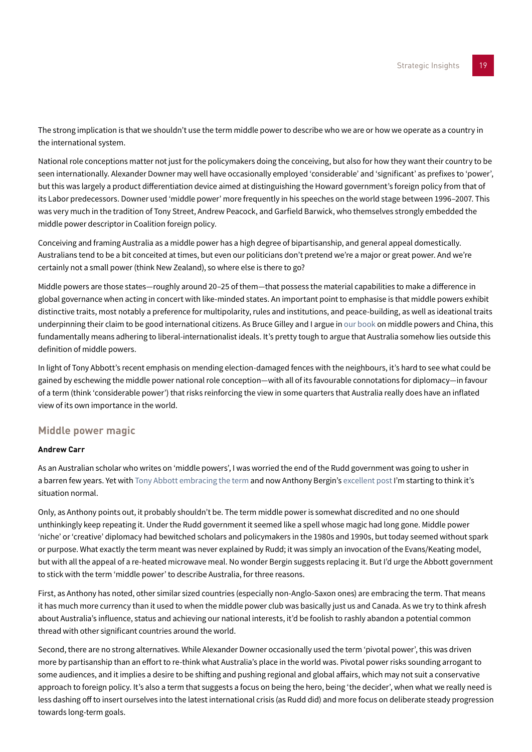The strong implication is that we shouldn't use the term middle power to describe who we are or how we operate as a country in the international system.

National role conceptions matter not just for the policymakers doing the conceiving, but also for how they want their country to be seen internationally. Alexander Downer may well have occasionally employed 'considerable' and 'significant' as prefixes to 'power', but this was largely a product differentiation device aimed at distinguishing the Howard government's foreign policy from that of its Labor predecessors. Downer used 'middle power' more frequently in his speeches on the world stage between 1996–2007. This was very much in the tradition of Tony Street, Andrew Peacock, and Garfield Barwick, who themselves strongly embedded the middle power descriptor in Coalition foreign policy.

Conceiving and framing Australia as a middle power has a high degree of bipartisanship, and general appeal domestically. Australians tend to be a bit conceited at times, but even our politicians don't pretend we're a major or great power. And we're certainly not a small power (think New Zealand), so where else is there to go?

Middle powers are those states—roughly around 20–25 of them—that possess the material capabilities to make a difference in global governance when acting in concert with like-minded states. An important point to emphasise is that middle powers exhibit distinctive traits, most notably a preference for multipolarity, rules and institutions, and peace-building, as well as ideational traits underpinning their claim to be good international citizens. As Bruce Gilley and I argue in [our book](http://press.georgetown.edu/book/georgetown/middle-powers-and-rise-china) on middle powers and China, this fundamentally means adhering to liberal-internationalist ideals. It's pretty tough to argue that Australia somehow lies outside this definition of middle powers.

In light of Tony Abbott's recent emphasis on mending election-damaged fences with the neighbours, it's hard to see what could be gained by eschewing the middle power national role conception—with all of its favourable connotations for diplomacy—in favour of a term (think 'considerable power') that risks reinforcing the view in some quarters that Australia really does have an inflated view of its own importance in the world.

# **Middle power magic**

### **Andrew Carr**

As an Australian scholar who writes on 'middle powers', I was worried the end of the Rudd government was going to usher in a barren few years. Yet with [Tony Abbott embracing the term](http://www.smh.com.au/comment/dump-middlepower-tag--australia-carries-bigger-stick-than-that-20131009-2v8hr.html) and now Anthony Bergin's [excellent post I](#page-13-0)'m starting to think it's situation normal.

Only, as Anthony points out, it probably shouldn't be. The term middle power is somewhat discredited and no one should unthinkingly keep repeating it. Under the Rudd government it seemed like a spell whose magic had long gone. Middle power 'niche' or 'creative' diplomacy had bewitched scholars and policymakers in the 1980s and 1990s, but today seemed without spark or purpose. What exactly the term meant was never explained by Rudd; it was simply an invocation of the Evans/Keating model, but with all the appeal of a re-heated microwave meal. No wonder Bergin suggests replacing it. But I'd urge the Abbott government to stick with the term 'middle power' to describe Australia, for three reasons.

First, as Anthony has noted, other similar sized countries (especially non-Anglo-Saxon ones) are embracing the term. That means it has much more currency than it used to when the middle power club was basically just us and Canada. As we try to think afresh about Australia's influence, status and achieving our national interests, it'd be foolish to rashly abandon a potential common thread with other significant countries around the world.

Second, there are no strong alternatives. While Alexander Downer occasionally used the term 'pivotal power', this was driven more by partisanship than an effort to re-think what Australia's place in the world was. Pivotal power risks sounding arrogant to some audiences, and it implies a desire to be shifting and pushing regional and global affairs, which may not suit a conservative approach to foreign policy. It's also a term that suggests a focus on being the hero, being 'the decider', when what we really need is less dashing off to insert ourselves into the latest international crisis (as Rudd did) and more focus on deliberate steady progression towards long-term goals.